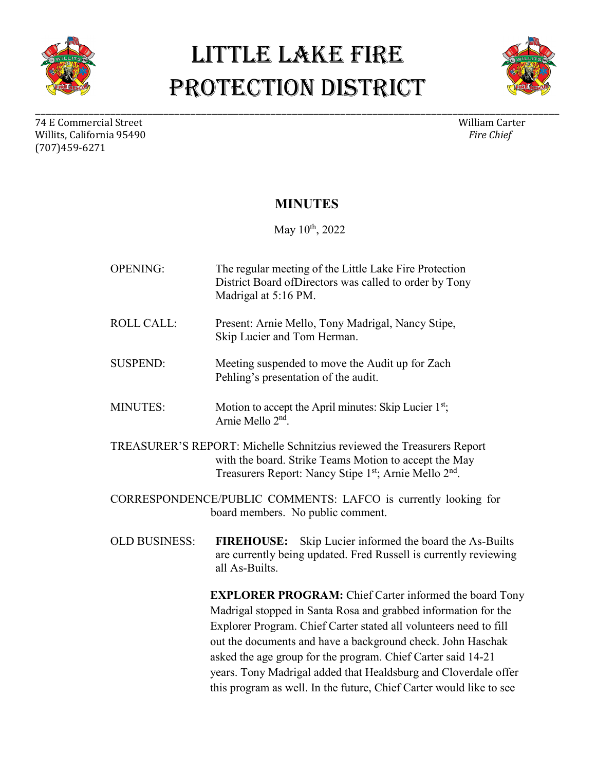



74 E Commercial Street William Carter (1990) william Carter (1990) william Carter (1990) william Carter (1990)<br>Willits. California 95490 Willits, California 95490 (707)459-6271

\_\_\_\_\_\_\_\_\_\_\_\_\_\_\_\_\_\_\_\_\_\_\_\_\_\_\_\_\_\_\_\_\_\_\_\_\_\_\_\_\_\_\_\_\_\_\_\_\_\_\_\_\_\_\_\_\_\_\_\_\_\_\_\_\_\_\_\_\_\_\_\_\_\_\_\_\_\_\_\_\_\_\_\_\_\_\_\_\_\_\_\_\_\_\_\_\_\_

#### **MINUTES**

May 10<sup>th</sup>, 2022

OPENING: The regular meeting of the Little Lake Fire Protection District Board ofDirectors was called to order by Tony Madrigal at 5:16 PM. ROLL CALL: Present: Arnie Mello, Tony Madrigal, Nancy Stipe, Skip Lucier and Tom Herman. SUSPEND: Meeting suspended to move the Audit up for Zach Pehling's presentation of the audit. MINUTES: Motion to accept the April minutes: Skip Lucier 1<sup>st</sup>; Arnie Mello 2nd. TREASURER'S REPORT: Michelle Schnitzius reviewed the Treasurers Report with the board. Strike Teams Motion to accept the May Treasurers Report: Nancy Stipe 1st; Arnie Mello 2<sup>nd</sup>. CORRESPONDENCE/PUBLIC COMMENTS: LAFCO is currently looking for board members. No public comment. OLD BUSINESS: **FIREHOUSE:** Skip Lucier informed the board the As-Builts are currently being updated. Fred Russell is currently reviewing all As-Builts. **EXPLORER PROGRAM:** Chief Carter informed the board Tony Madrigal stopped in Santa Rosa and grabbed information for the Explorer Program. Chief Carter stated all volunteers need to fill out the documents and have a background check. John Haschak asked the age group for the program. Chief Carter said 14-21 years. Tony Madrigal added that Healdsburg and Cloverdale offer this program as well. In the future, Chief Carter would like to see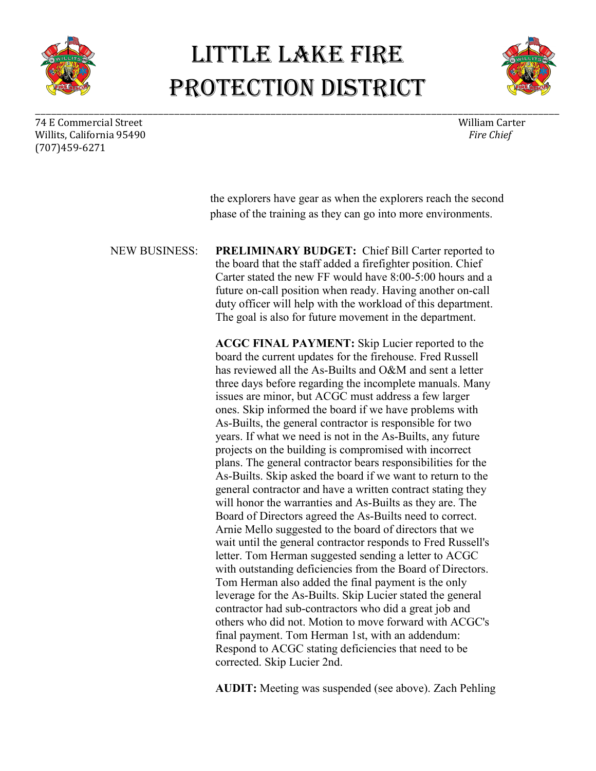

\_\_\_\_\_\_\_\_\_\_\_\_\_\_\_\_\_\_\_\_\_\_\_\_\_\_\_\_\_\_\_\_\_\_\_\_\_\_\_\_\_\_\_\_\_\_\_\_\_\_\_\_\_\_\_\_\_\_\_\_\_\_\_\_\_\_\_\_\_\_\_\_\_\_\_\_\_\_\_\_\_\_\_\_\_\_\_\_\_\_\_\_\_\_\_\_\_\_



74 E Commercial Street William Carter (1990) william Carter (1990) william Carter (1990) william Carter (1990)<br>Willits. California 95490 Willits, California 95490 (707)459-6271

> the explorers have gear as when the explorers reach the second phase of the training as they can go into more environments.

NEW BUSINESS: **PRELIMINARY BUDGET:** Chief Bill Carter reported to the board that the staff added a firefighter position. Chief Carter stated the new FF would have 8:00-5:00 hours and a future on-call position when ready. Having another on-call duty officer will help with the workload of this department. The goal is also for future movement in the department.

> **ACGC FINAL PAYMENT:** Skip Lucier reported to the board the current updates for the firehouse. Fred Russell has reviewed all the As-Builts and O&M and sent a letter three days before regarding the incomplete manuals. Many issues are minor, but ACGC must address a few larger ones. Skip informed the board if we have problems with As-Builts, the general contractor is responsible for two years. If what we need is not in the As-Builts, any future projects on the building is compromised with incorrect plans. The general contractor bears responsibilities for the As-Builts. Skip asked the board if we want to return to the general contractor and have a written contract stating they will honor the warranties and As-Builts as they are. The Board of Directors agreed the As-Builts need to correct. Arnie Mello suggested to the board of directors that we wait until the general contractor responds to Fred Russell's letter. Tom Herman suggested sending a letter to ACGC with outstanding deficiencies from the Board of Directors. Tom Herman also added the final payment is the only leverage for the As-Builts. Skip Lucier stated the general contractor had sub-contractors who did a great job and others who did not. Motion to move forward with ACGC's final payment. Tom Herman 1st, with an addendum: Respond to ACGC stating deficiencies that need to be corrected. Skip Lucier 2nd.

**AUDIT:** Meeting was suspended (see above). Zach Pehling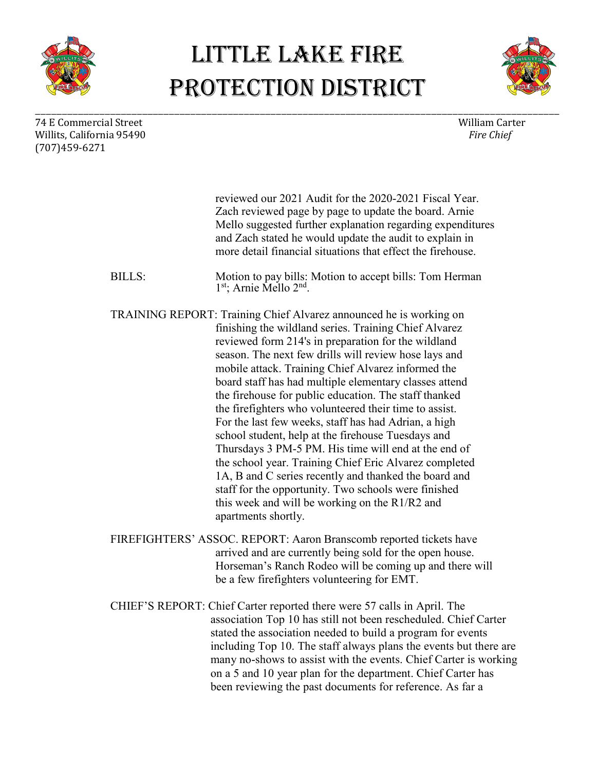



74 E Commercial Street William Carter William Carter William Carter William Carter William Carter William Carter William Carter William Carter William Carter William Carter William Carter William Carter William Carter Will Willits, California 95490 (707)459-6271

\_\_\_\_\_\_\_\_\_\_\_\_\_\_\_\_\_\_\_\_\_\_\_\_\_\_\_\_\_\_\_\_\_\_\_\_\_\_\_\_\_\_\_\_\_\_\_\_\_\_\_\_\_\_\_\_\_\_\_\_\_\_\_\_\_\_\_\_\_\_\_\_\_\_\_\_\_\_\_\_\_\_\_\_\_\_\_\_\_\_\_\_\_\_\_\_\_\_

|                                                                                                                                                                                                                                                                                | reviewed our 2021 Audit for the 2020-2021 Fiscal Year.<br>Zach reviewed page by page to update the board. Arnie<br>Mello suggested further explanation regarding expenditures<br>and Zach stated he would update the audit to explain in<br>more detail financial situations that effect the firehouse.                                                                                                                                                                                                                                                                                                                                                                                                                                                                                                                                                                                                  |
|--------------------------------------------------------------------------------------------------------------------------------------------------------------------------------------------------------------------------------------------------------------------------------|----------------------------------------------------------------------------------------------------------------------------------------------------------------------------------------------------------------------------------------------------------------------------------------------------------------------------------------------------------------------------------------------------------------------------------------------------------------------------------------------------------------------------------------------------------------------------------------------------------------------------------------------------------------------------------------------------------------------------------------------------------------------------------------------------------------------------------------------------------------------------------------------------------|
| <b>BILLS:</b>                                                                                                                                                                                                                                                                  | Motion to pay bills: Motion to accept bills: Tom Herman 1st; Arnie Mello 2nd.                                                                                                                                                                                                                                                                                                                                                                                                                                                                                                                                                                                                                                                                                                                                                                                                                            |
|                                                                                                                                                                                                                                                                                | TRAINING REPORT: Training Chief Alvarez announced he is working on<br>finishing the wildland series. Training Chief Alvarez<br>reviewed form 214's in preparation for the wildland<br>season. The next few drills will review hose lays and<br>mobile attack. Training Chief Alvarez informed the<br>board staff has had multiple elementary classes attend<br>the firehouse for public education. The staff thanked<br>the firefighters who volunteered their time to assist.<br>For the last few weeks, staff has had Adrian, a high<br>school student, help at the firehouse Tuesdays and<br>Thursdays 3 PM-5 PM. His time will end at the end of<br>the school year. Training Chief Eric Alvarez completed<br>1A, B and C series recently and thanked the board and<br>staff for the opportunity. Two schools were finished<br>this week and will be working on the R1/R2 and<br>apartments shortly. |
|                                                                                                                                                                                                                                                                                | FIREFIGHTERS' ASSOC. REPORT: Aaron Branscomb reported tickets have<br>arrived and are currently being sold for the open house.<br>Horseman's Ranch Rodeo will be coming up and there will<br>be a few firefighters volunteering for EMT.                                                                                                                                                                                                                                                                                                                                                                                                                                                                                                                                                                                                                                                                 |
| CHIEF'S REPORT: Chief Carter reported there were 57 calls in April. The<br>association Top 10 has still not been rescheduled. Chief Carter<br>stated the association needed to build a program for events<br>including Top 10. The staff always plans the events but there are |                                                                                                                                                                                                                                                                                                                                                                                                                                                                                                                                                                                                                                                                                                                                                                                                                                                                                                          |

many no-shows to assist with the events. Chief Carter is working on a 5 and 10 year plan for the department. Chief Carter has been reviewing the past documents for reference. As far a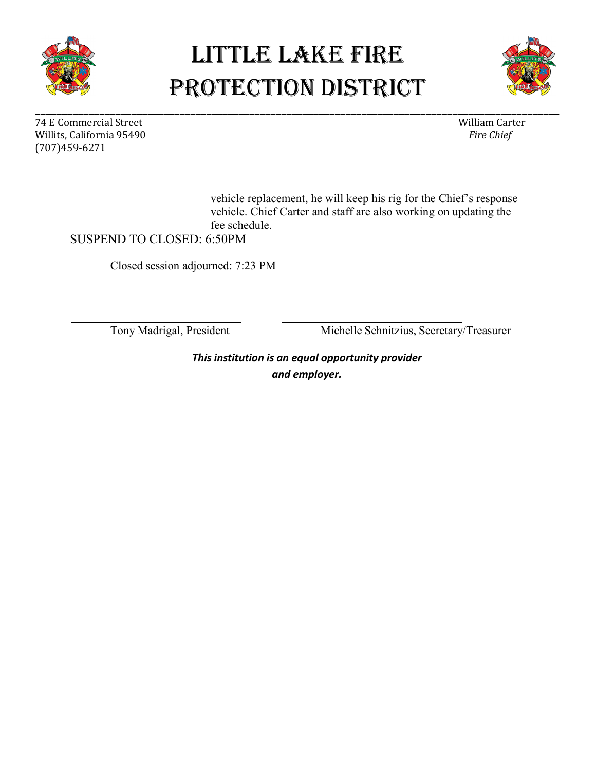



74 E Commercial Street William Carter William Carter William Carter William Carter William Carter William Carter William Carter William Carter William Carter William Carter William Carter William Carter William Carter Will Willits, California 95490 (707)459-6271

\_\_\_\_\_\_\_\_\_\_\_\_\_\_\_\_\_\_\_\_\_\_\_\_\_\_\_\_\_\_\_\_\_\_\_\_\_\_\_\_\_\_\_\_\_\_\_\_\_\_\_\_\_\_\_\_\_\_\_\_\_\_\_\_\_\_\_\_\_\_\_\_\_\_\_\_\_\_\_\_\_\_\_\_\_\_\_\_\_\_\_\_\_\_\_\_\_\_

vehicle replacement, he will keep his rig for the Chief's response vehicle. Chief Carter and staff are also working on updating the fee schedule.

SUSPEND TO CLOSED: 6:50PM

Closed session adjourned: 7:23 PM

Tony Madrigal, President Michelle Schnitzius, Secretary/Treasurer

*This institution is an equal opportunity provider and employer.*